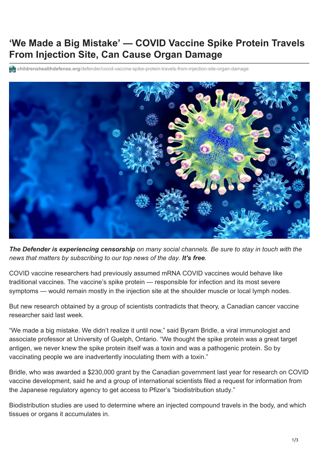## **'We Made a Big Mistake' — COVID Vaccine Spike Protein Travels From Injection Site, Can Cause Organ Damage**

**childrenshealthdefense.org**[/defender/covid-vaccine-spike-protein-travels-from-injection-site-organ-damage](https://childrenshealthdefense.org/defender/covid-vaccine-spike-protein-travels-from-injection-site-organ-damage/)



*The Defender is experiencing censorship on many social channels. Be sure to stay in touch with the news that matters by [subscribing to our top news of the day](https://childrenshealthdefense.org/about-us/sign-up/?utm_source=top_of_article&utm_medium=the_defender&utm_campaign=sign_ups). It's free.*

COVID vaccine [researchers had previously assumed](https://www.lifesitenews.com/news/vaccine-researcher-admits-big-mistake-says-spike-protein-is-dangerous-toxin) mRNA COVID vaccines would behave like traditional vaccines. The vaccine's spike protein — responsible for infection and its most severe symptoms — would remain mostly in the injection site at the shoulder muscle or local lymph nodes.

But new research obtained by a group of scientists contradicts that theory, a Canadian cancer vaccine researcher said last week.

"We made a big mistake. We didn't realize it until now," said Byram Bridle, a viral immunologist and associate professor at University of Guelph, Ontario. "We thought the spike protein was a great target antigen, we never knew the spike protein itself was a toxin and was a pathogenic protein. So by vaccinating people we are inadvertently inoculating them with a toxin."

Bridle, who was awarded a \$230,000 grant by the [Canadian government](https://kitchener.ctvnews.ca/ontario-gives-230k-in-vaccine-research-funding-to-university-of-guelph-1.4948998) last year for research on [COVID](https://childrenshealthdefense.org/defender_category/covid/) vaccine development, said he and a group of international scientists filed a request for information from the Japanese regulatory agency to get access to Pfizer's "[biodistribution study](https://www.docdroid.net/xq0Z8B0/pfizer-report-japanese-government-pdf)."

Biodistribution studies are used to determine where an injected compound travels in the body, and which tissues or organs it accumulates in.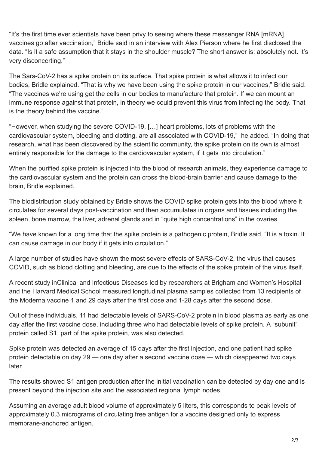"It's the first time ever scientists have been privy to seeing where these [messenger RNA](https://childrenshealthdefense.org/news/editorial/an-mrna-vaccine-against-sars-cov-2-preliminary-report-a-researcher-reacts/) [mRNA] vaccines go after vaccination," Bridle said in an [interview](https://omny.fm/shows/on-point-with-alex-pierson/new-peer-reviewed-study-on-covid-19-vaccines-sugge) with Alex Pierson where he first disclosed the data. "Is it a safe assumption that it stays in the shoulder muscle? The short answer is: absolutely not. It's very disconcerting."

The Sars-CoV-2 has a spike protein on its surface. That spike protein is what allows it to infect our bodies, Bridle explained. "That is why we have been using the spike protein in our vaccines," Bridle said. "The vaccines we're using get the cells in our bodies to manufacture that protein. If we can mount an immune response against that protein, in theory we could prevent this virus from infecting the body. That is the theory behind the vaccine."

"However, when studying the severe COVID-19, […] [heart problems,](https://childrenshealthdefense.org/defender/pfizer-vaccine-linked-heart-inflammation/) lots of problems with the cardiovascular system, [bleeding and clotting,](https://childrenshealthdefense.org/defender/pfizer-moderna-vaccines-blood-clots/) are all associated with COVID-19," he added. "In doing that research, what has been discovered by the scientific community, the spike protein on its own is almost entirely responsible for the damage to the cardiovascular system, if it gets into circulation."

When the purified spike protein is injected into the blood of research animals, they experience damage to the cardiovascular system and the protein can cross the blood-brain barrier and cause damage to the brain, [Bridle explained.](https://omny.fm/shows/on-point-with-alex-pierson/new-peer-reviewed-study-on-covid-19-vaccines-sugge)

The [biodistribution study](https://www.docdroid.net/xq0Z8B0/pfizer-report-japanese-government-pdf) obtained by Bridle shows the COVID spike protein gets into the blood where it circulates for several days post-vaccination and then accumulates in organs and tissues including the spleen, bone marrow, the liver, adrenal glands and in "quite high concentrations" in the ovaries.

"We have known for a long time that the spike protein is a pathogenic protein, Bridle said. "It is a toxin. It can cause damage in our body if it gets into circulation."

A large number of studies have shown the most severe effects of SARS-CoV-2, the virus that causes COVID, such as blood clotting and bleeding, are due to the effects of the spike protein of the virus itself.

A recent study in[Clinical and Infectious Diseases](http://academic.oup.com/cid/advance-article/doi/10.1093/cid/ciab465/6279075) led by researchers at Brigham and Women's Hospital and the Harvard Medical School measured longitudinal plasma samples collected from 13 recipients of the [Moderna](https://childrenshealthdefense.org/defender/rfk-jr-the-defender-podcast-dr-charles-hoffe-adverse-health-effects-covid-vaccine/) vaccine 1 and 29 days after the first dose and 1-28 days after the second dose.

Out of these individuals, [11 had detectable levels of SARS-CoV-2 protein](https://trialsitenews.com/did-pfizer-fail-to-perform-industry-standard-animal-testing-prior-to-initiation-of-mrna-clinical-trials/) in blood plasma as early as one day after the first vaccine dose, including three who had detectable levels of spike protein. A "subunit" protein called S1, part of the spike protein, was also detected.

Spike protein was detected an average of 15 days after the first injection, and one patient had spike protein detectable on day 29 — one day after a second vaccine dose — which disappeared two days later.

The [results showed](https://academic.oup.com/cid/advance-article/doi/10.1093/cid/ciab465/6279075) S1 antigen production after the initial vaccination can be detected by day one and is present beyond the injection site and the associated regional lymph nodes.

Assuming an average adult blood volume of approximately 5 liters, this [corresponds](https://trialsitenews.com/did-pfizer-fail-to-perform-industry-standard-animal-testing-prior-to-initiation-of-mrna-clinical-trials/) to peak levels of approximately 0.3 micrograms of circulating free antigen for a vaccine designed only to express membrane-anchored antigen.